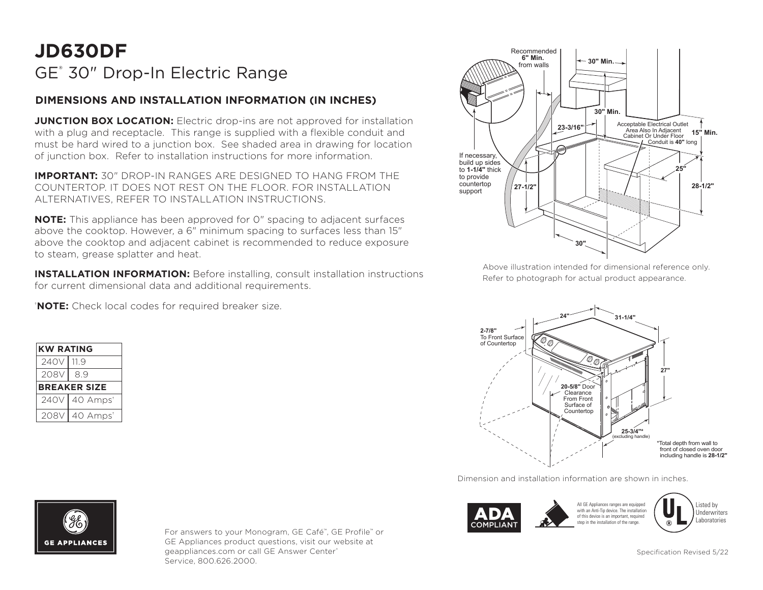## **JD630DF** GE® 30" Drop-In Electric Range

## **DIMENSIONS AND INSTALLATION INFORMATION (IN INCHES)**

**JUNCTION BOX LOCATION:** Electric drop-ins are not approved for installation with a plug and receptacle. This range is supplied with a flexible conduit and must be hard wired to a junction box. See shaded area in drawing for location of junction box. Refer to installation instructions for more information.

**IMPORTANT:** 30" DROP-IN RANGES ARE DESIGNED TO HANG FROM THE COUNTERTOP. IT DOES NOT REST ON THE FLOOR. FOR INSTALLATION ALTERNATIVES, REFER TO INSTALLATION INSTRUCTIONS.

**NOTE:** This appliance has been approved for 0" spacing to adjacent surfaces above the cooktop. However, a 6" minimum spacing to surfaces less than 15" above the cooktop and adjacent cabinet is recommended to reduce exposure to steam, grease splatter and heat.

**INSTALLATION INFORMATION:** Before installing, consult installation instructions  $R$ for current dimensional data and additional requirements.

† **NOTE:** Check local codes for required breaker size.

| <b>KW RATING</b>    |                             |
|---------------------|-----------------------------|
| 240V   11.9         |                             |
| 208VI               | 89                          |
| <b>BREAKER SIZE</b> |                             |
|                     | 240V   40 Amps <sup>+</sup> |
| 208V                | 40 Amps <sup>+</sup>        |



Above illustration intended for dimensional reference only. Refer to photograph for actual product appearance.



Dimension and installation information are shown in inches.



All GE Appliances ranges are equipped with an Anti-Tip device. The installation of this device is an important, required stop in the installation of the range.

Listed by **Underwriters** Laboratories



For answers to your Monogram, GE Café™, GE Profile™ or GE Appliances product questions, visit our website at geappliances.com or call GE Answer Center® Service, 800.626.2000.